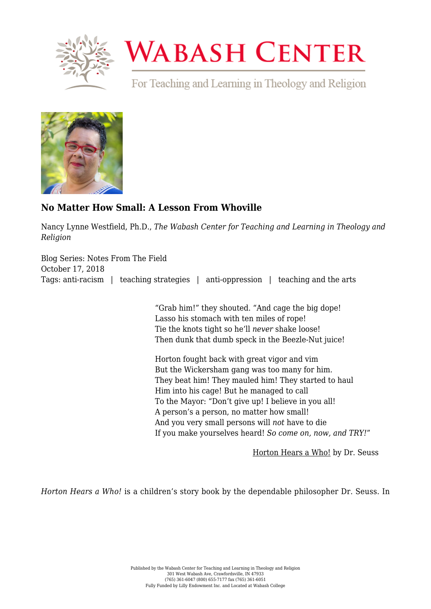

## **WABASH CENTER**

For Teaching and Learning in Theology and Religion



## **[No Matter How Small: A Lesson From Whoville](https://www.wabashcenter.wabash.edu/2018/10/no-matter-how-small-a-lesson-from-whoville/)**

Nancy Lynne Westfield, Ph.D., *The Wabash Center for Teaching and Learning in Theology and Religion*

Blog Series: Notes From The Field October 17, 2018 Tags: anti-racism | teaching strategies | anti-oppression | teaching and the arts

> "Grab him!" they shouted. "And cage the big dope! Lasso his stomach with ten miles of rope! Tie the knots tight so he'll *never* shake loose! Then dunk that dumb speck in the Beezle-Nut juice!

Horton fought back with great vigor and vim But the Wickersham gang was too many for him. They beat him! They mauled him! They started to haul Him into his cage! But he managed to call To the Mayor: "Don't give up! I believe in you all! A person's a person, no matter how small! And you very small persons will *not* have to die If you make yourselves heard! *So come on, now, and TRY!*"

Horton Hears a Who! by Dr. Seuss

*Horton Hears a Who!* is a children's story book by the dependable philosopher Dr. Seuss. In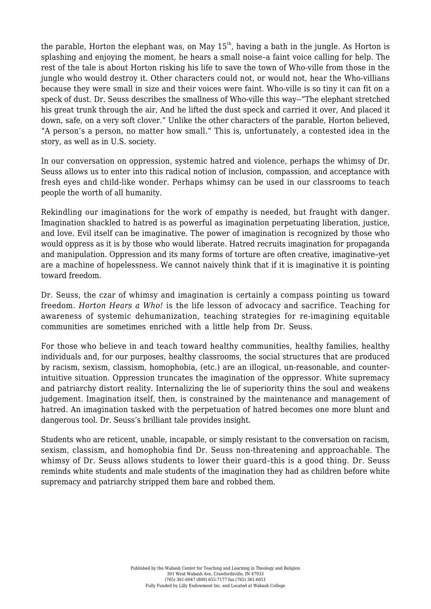the parable, Horton the elephant was, on May  $15<sup>th</sup>$ , having a bath in the jungle. As Horton is splashing and enjoying the moment, he hears a small noise–a faint voice calling for help. The rest of the tale is about Horton risking his life to save the town of Who-ville from those in the jungle who would destroy it. Other characters could not, or would not, hear the Who-villians because they were small in size and their voices were faint. Who-ville is so tiny it can fit on a speck of dust. Dr. Seuss describes the smallness of Who-ville this way--"The elephant stretched his great trunk through the air, And he lifted the dust speck and carried it over, And placed it down, safe, on a very soft clover." Unlike the other characters of the parable, Horton believed, "A person's a person, no matter how small." This is, unfortunately, a contested idea in the story, as well as in U.S. society.

In our conversation on oppression, systemic hatred and violence, perhaps the whimsy of Dr. Seuss allows us to enter into this radical notion of inclusion, compassion, and acceptance with fresh eyes and child-like wonder. Perhaps whimsy can be used in our classrooms to teach people the worth of all humanity.

Rekindling our imaginations for the work of empathy is needed, but fraught with danger. Imagination shackled to hatred is as powerful as imagination perpetuating liberation, justice, and love. Evil itself can be imaginative. The power of imagination is recognized by those who would oppress as it is by those who would liberate. Hatred recruits imagination for propaganda and manipulation. Oppression and its many forms of torture are often creative, imaginative–yet are a machine of hopelessness. We cannot naively think that if it is imaginative it is pointing toward freedom.

Dr. Seuss, the czar of whimsy and imagination is certainly a compass pointing us toward freedom. *Horton Hears a Who!* is the life lesson of advocacy and sacrifice. Teaching for awareness of systemic dehumanization, teaching strategies for re-imagining equitable communities are sometimes enriched with a little help from Dr. Seuss.

For those who believe in and teach toward healthy communities, healthy families, healthy individuals and, for our purposes, healthy classrooms, the social structures that are produced by racism, sexism, classism, homophobia, (etc.) are an illogical, un-reasonable, and counterintuitive situation. Oppression truncates the imagination of the oppressor. White supremacy and patriarchy distort reality. Internalizing the lie of superiority thins the soul and weakens judgement. Imagination itself, then, is constrained by the maintenance and management of hatred. An imagination tasked with the perpetuation of hatred becomes one more blunt and dangerous tool. Dr. Seuss's brilliant tale provides insight.

Students who are reticent, unable, incapable, or simply resistant to the conversation on racism, sexism, classism, and homophobia find Dr. Seuss non-threatening and approachable. The whimsy of Dr. Seuss allows students to lower their guard–this is a good thing. Dr. Seuss reminds white students and male students of the imagination they had as children before white supremacy and patriarchy stripped them bare and robbed them.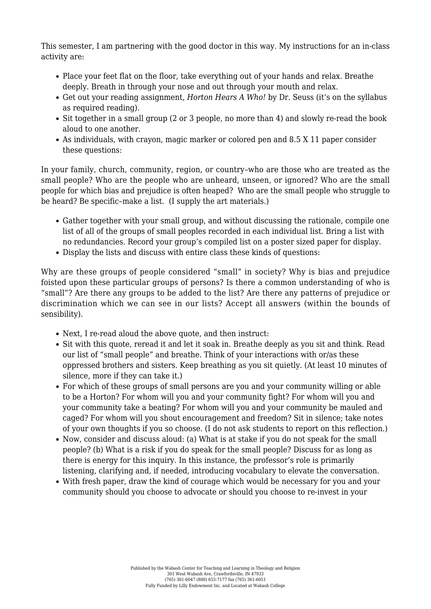This semester, I am partnering with the good doctor in this way. My instructions for an in-class activity are:

- Place your feet flat on the floor, take everything out of your hands and relax. Breathe deeply. Breath in through your nose and out through your mouth and relax.
- Get out your reading assignment, *Horton Hears A Who!* by Dr. Seuss (it's on the syllabus as required reading).
- Sit together in a small group (2 or 3 people, no more than 4) and slowly re-read the book aloud to one another.
- As individuals, with crayon, magic marker or colored pen and 8.5 X 11 paper consider these questions:

In your family, church, community, region, or country–who are those who are treated as the small people? Who are the people who are unheard, unseen, or ignored? Who are the small people for which bias and prejudice is often heaped? Who are the small people who struggle to be heard? Be specific–make a list. (I supply the art materials.)

- Gather together with your small group, and without discussing the rationale, compile one list of all of the groups of small peoples recorded in each individual list. Bring a list with no redundancies. Record your group's compiled list on a poster sized paper for display.
- Display the lists and discuss with entire class these kinds of questions:

Why are these groups of people considered "small" in society? Why is bias and prejudice foisted upon these particular groups of persons? Is there a common understanding of who is "small"? Are there any groups to be added to the list? Are there any patterns of prejudice or discrimination which we can see in our lists? Accept all answers (within the bounds of sensibility).

- Next, I re-read aloud the above quote, and then instruct:
- Sit with this quote, reread it and let it soak in. Breathe deeply as you sit and think. Read our list of "small people" and breathe. Think of your interactions with or/as these oppressed brothers and sisters. Keep breathing as you sit quietly. (At least 10 minutes of silence, more if they can take it.)
- For which of these groups of small persons are you and your community willing or able to be a Horton? For whom will you and your community fight? For whom will you and your community take a beating? For whom will you and your community be mauled and caged? For whom will you shout encouragement and freedom? Sit in silence; take notes of your own thoughts if you so choose. (I do not ask students to report on this reflection.)
- Now, consider and discuss aloud: (a) What is at stake if you do not speak for the small people? (b) What is a risk if you do speak for the small people? Discuss for as long as there is energy for this inquiry. In this instance, the professor's role is primarily listening, clarifying and, if needed, introducing vocabulary to elevate the conversation.
- With fresh paper, draw the kind of courage which would be necessary for you and your community should you choose to advocate or should you choose to re-invest in your